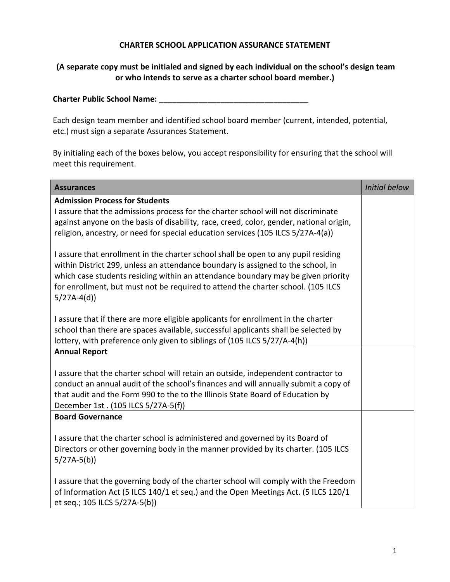## **CHARTER SCHOOL APPLICATION ASSURANCE STATEMENT**

## **(A separate copy must be initialed and signed by each individual on the school's design team or who intends to serve as a charter school board member.)**

| <b>Charter Public School Name:</b> |  |
|------------------------------------|--|
|                                    |  |

Each design team member and identified school board member (current, intended, potential, etc.) must sign a separate Assurances Statement.

By initialing each of the boxes below, you accept responsibility for ensuring that the school will meet this requirement.

| <b>Assurances</b>                                                                                                                                                                                                                                                                                                                              | <b>Initial below</b> |
|------------------------------------------------------------------------------------------------------------------------------------------------------------------------------------------------------------------------------------------------------------------------------------------------------------------------------------------------|----------------------|
| <b>Admission Process for Students</b><br>I assure that the admissions process for the charter school will not discriminate<br>against anyone on the basis of disability, race, creed, color, gender, national origin,<br>religion, ancestry, or need for special education services (105 ILCS 5/27A-4(a))                                      |                      |
| I assure that enrollment in the charter school shall be open to any pupil residing<br>within District 299, unless an attendance boundary is assigned to the school, in<br>which case students residing within an attendance boundary may be given priority<br>for enrollment, but must not be required to attend the charter school. (105 ILCS |                      |
| $5/27A-4(d)$<br>I assure that if there are more eligible applicants for enrollment in the charter                                                                                                                                                                                                                                              |                      |
| school than there are spaces available, successful applicants shall be selected by<br>lottery, with preference only given to siblings of (105 ILCS 5/27/A-4(h))                                                                                                                                                                                |                      |
| <b>Annual Report</b>                                                                                                                                                                                                                                                                                                                           |                      |
| I assure that the charter school will retain an outside, independent contractor to<br>conduct an annual audit of the school's finances and will annually submit a copy of<br>that audit and the Form 990 to the to the Illinois State Board of Education by<br>December 1st. (105 ILCS 5/27A-5(f))                                             |                      |
| <b>Board Governance</b>                                                                                                                                                                                                                                                                                                                        |                      |
| I assure that the charter school is administered and governed by its Board of<br>Directors or other governing body in the manner provided by its charter. (105 ILCS<br>$5/27A-5(b)$                                                                                                                                                            |                      |
| I assure that the governing body of the charter school will comply with the Freedom<br>of Information Act (5 ILCS 140/1 et seq.) and the Open Meetings Act. (5 ILCS 120/1<br>et seq.; 105 ILCS 5/27A-5(b))                                                                                                                                     |                      |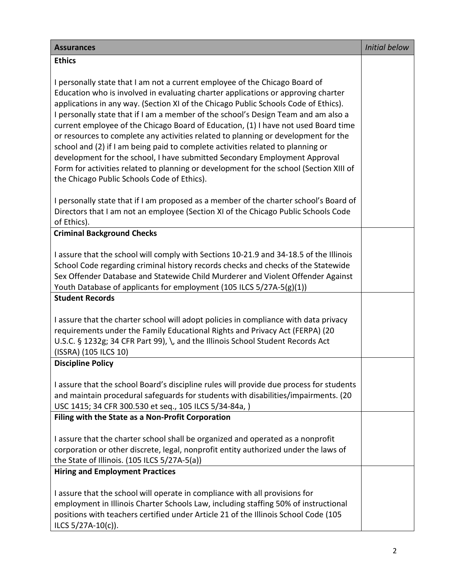| <b>Assurances</b>                                                                                                                                                                                                                                                                                                                                                                                                                                                                                                                                                                                                                                                                                                                                                                                                                   | <b>Initial below</b> |
|-------------------------------------------------------------------------------------------------------------------------------------------------------------------------------------------------------------------------------------------------------------------------------------------------------------------------------------------------------------------------------------------------------------------------------------------------------------------------------------------------------------------------------------------------------------------------------------------------------------------------------------------------------------------------------------------------------------------------------------------------------------------------------------------------------------------------------------|----------------------|
| <b>Ethics</b>                                                                                                                                                                                                                                                                                                                                                                                                                                                                                                                                                                                                                                                                                                                                                                                                                       |                      |
| I personally state that I am not a current employee of the Chicago Board of<br>Education who is involved in evaluating charter applications or approving charter<br>applications in any way. (Section XI of the Chicago Public Schools Code of Ethics).<br>I personally state that if I am a member of the school's Design Team and am also a<br>current employee of the Chicago Board of Education, (1) I have not used Board time<br>or resources to complete any activities related to planning or development for the<br>school and (2) if I am being paid to complete activities related to planning or<br>development for the school, I have submitted Secondary Employment Approval<br>Form for activities related to planning or development for the school (Section XIII of<br>the Chicago Public Schools Code of Ethics). |                      |
| I personally state that if I am proposed as a member of the charter school's Board of<br>Directors that I am not an employee (Section XI of the Chicago Public Schools Code<br>of Ethics).                                                                                                                                                                                                                                                                                                                                                                                                                                                                                                                                                                                                                                          |                      |
| <b>Criminal Background Checks</b>                                                                                                                                                                                                                                                                                                                                                                                                                                                                                                                                                                                                                                                                                                                                                                                                   |                      |
| I assure that the school will comply with Sections 10-21.9 and 34-18.5 of the Illinois<br>School Code regarding criminal history records checks and checks of the Statewide<br>Sex Offender Database and Statewide Child Murderer and Violent Offender Against<br>Youth Database of applicants for employment (105 ILCS 5/27A-5(g)(1))                                                                                                                                                                                                                                                                                                                                                                                                                                                                                              |                      |
| <b>Student Records</b>                                                                                                                                                                                                                                                                                                                                                                                                                                                                                                                                                                                                                                                                                                                                                                                                              |                      |
| I assure that the charter school will adopt policies in compliance with data privacy<br>requirements under the Family Educational Rights and Privacy Act (FERPA) (20<br>U.S.C. § 1232g; 34 CFR Part 99), \, and the Illinois School Student Records Act<br>(ISSRA) (105 ILCS 10)                                                                                                                                                                                                                                                                                                                                                                                                                                                                                                                                                    |                      |
| <b>Discipline Policy</b>                                                                                                                                                                                                                                                                                                                                                                                                                                                                                                                                                                                                                                                                                                                                                                                                            |                      |
| I assure that the school Board's discipline rules will provide due process for students<br>and maintain procedural safeguards for students with disabilities/impairments. (20<br>USC 1415; 34 CFR 300.530 et seq., 105 ILCS 5/34-84a, )                                                                                                                                                                                                                                                                                                                                                                                                                                                                                                                                                                                             |                      |
| Filing with the State as a Non-Profit Corporation                                                                                                                                                                                                                                                                                                                                                                                                                                                                                                                                                                                                                                                                                                                                                                                   |                      |
| I assure that the charter school shall be organized and operated as a nonprofit<br>corporation or other discrete, legal, nonprofit entity authorized under the laws of<br>the State of Illinois. $(105$ ILCS $5/27A-5(a)$ )                                                                                                                                                                                                                                                                                                                                                                                                                                                                                                                                                                                                         |                      |
| <b>Hiring and Employment Practices</b>                                                                                                                                                                                                                                                                                                                                                                                                                                                                                                                                                                                                                                                                                                                                                                                              |                      |
| I assure that the school will operate in compliance with all provisions for<br>employment in Illinois Charter Schools Law, including staffing 50% of instructional<br>positions with teachers certified under Article 21 of the Illinois School Code (105<br>ILCS 5/27A-10(c)).                                                                                                                                                                                                                                                                                                                                                                                                                                                                                                                                                     |                      |